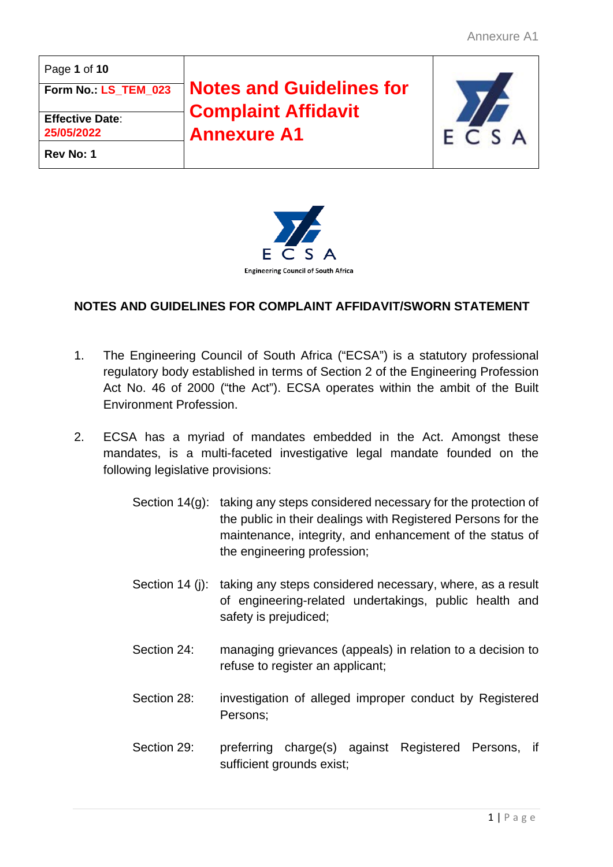| Page 1 of 10           |                                 |         |
|------------------------|---------------------------------|---------|
| Form No. LS_TEM_023    | <b>Notes and Guidelines for</b> |         |
| <b>Effective Date:</b> | <b>Complaint Affidavit</b>      |         |
| 25/05/2022             | <b>Annexure A1</b>              | F C S A |
| Rev No: 1              |                                 |         |



## **NOTES AND GUIDELINES FOR COMPLAINT AFFIDAVIT/SWORN STATEMENT**

- 1. The Engineering Council of South Africa ("ECSA") is a statutory professional regulatory body established in terms of Section 2 of the Engineering Profession Act No. 46 of 2000 ("the Act"). ECSA operates within the ambit of the Built Environment Profession.
- 2. ECSA has a myriad of mandates embedded in the Act. Amongst these mandates, is a multi-faceted investigative legal mandate founded on the following legislative provisions:
	- Section 14(g): taking any steps considered necessary for the protection of the public in their dealings with Registered Persons for the maintenance, integrity, and enhancement of the status of the engineering profession;
	- Section 14 (j): taking any steps considered necessary, where, as a result of engineering-related undertakings, public health and safety is prejudiced;
	- Section 24: managing grievances (appeals) in relation to a decision to refuse to register an applicant;
	- Section 28: investigation of alleged improper conduct by Registered Persons;
	- Section 29: preferring charge(s) against Registered Persons, if sufficient grounds exist;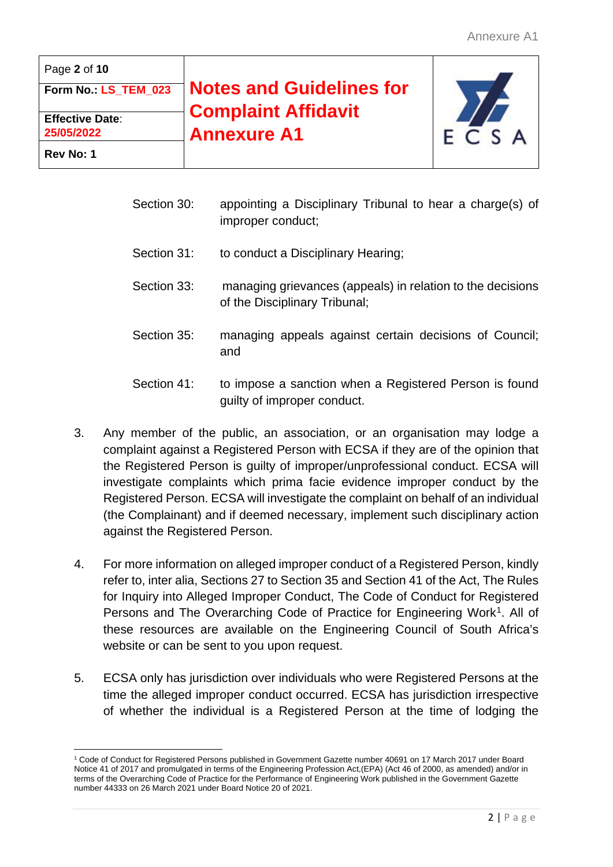| Page 2 of 10                         |                                                  |         |
|--------------------------------------|--------------------------------------------------|---------|
| Form No. LS TEM 023                  | <b>Notes and Guidelines for</b>                  |         |
| <b>Effective Date:</b><br>25/05/2022 | <b>Complaint Affidavit</b><br><b>Annexure A1</b> | F C S A |
| Rev No: 1                            |                                                  |         |

- Section 30: appointing a Disciplinary Tribunal to hear a charge(s) of improper conduct;
- Section 31: to conduct a Disciplinary Hearing;
- Section 33: managing grievances (appeals) in relation to the decisions of the Disciplinary Tribunal;
- Section 35: managing appeals against certain decisions of Council; and
- Section 41: to impose a sanction when a Registered Person is found guilty of improper conduct.
- 3. Any member of the public, an association, or an organisation may lodge a complaint against a Registered Person with ECSA if they are of the opinion that the Registered Person is guilty of improper/unprofessional conduct. ECSA will investigate complaints which prima facie evidence improper conduct by the Registered Person. ECSA will investigate the complaint on behalf of an individual (the Complainant) and if deemed necessary, implement such disciplinary action against the Registered Person.
- 4. For more information on alleged improper conduct of a Registered Person, kindly refer to, inter alia, Sections 27 to Section 35 and Section 41 of the Act, The Rules for Inquiry into Alleged Improper Conduct, The Code of Conduct for Registered Persons and The Overarching Code of Practice for Engineering Work<sup>1</sup>. All of these resources are available on the Engineering Council of South Africa's website or can be sent to you upon request.
- 5. ECSA only has jurisdiction over individuals who were Registered Persons at the time the alleged improper conduct occurred. ECSA has jurisdiction irrespective of whether the individual is a Registered Person at the time of lodging the

<span id="page-1-0"></span><sup>1</sup> Code of Conduct for Registered Persons published in Government Gazette number 40691 on 17 March 2017 under Board Notice 41 of 2017 and promulgated in terms of the Engineering Profession Act,(EPA) (Act 46 of 2000, as amended) and/or in terms of the Overarching Code of Practice for the Performance of Engineering Work published in the Government Gazette number 44333 on 26 March 2021 under Board Notice 20 of 2021.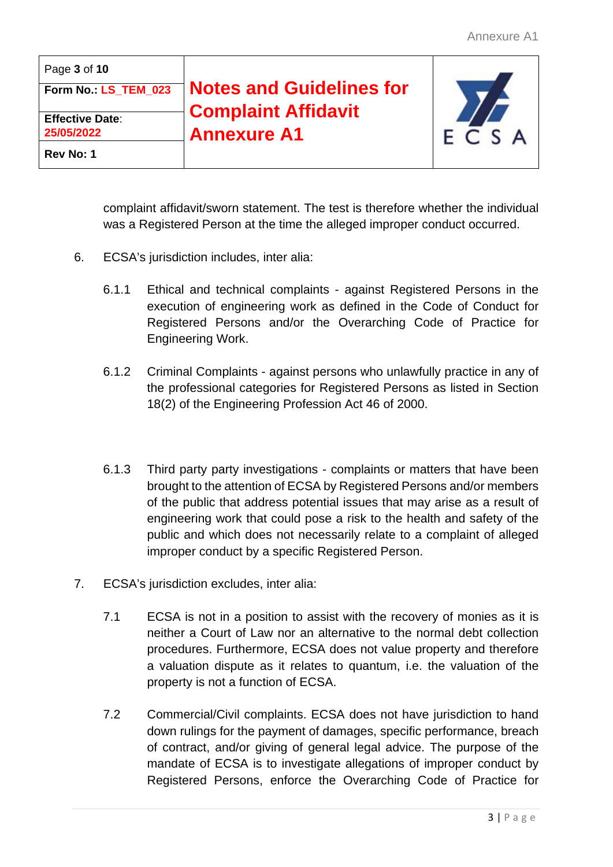| Page 3 of 10                         |                                                  |         |
|--------------------------------------|--------------------------------------------------|---------|
| Form No.: LS_TEM_023                 | <b>Notes and Guidelines for</b>                  |         |
| <b>Effective Date:</b><br>25/05/2022 | <b>Complaint Affidavit</b><br><b>Annexure A1</b> | F C S A |
| Rev No: 1                            |                                                  |         |

complaint affidavit/sworn statement. The test is therefore whether the individual was a Registered Person at the time the alleged improper conduct occurred.

- 6. ECSA's jurisdiction includes, inter alia:
	- 6.1.1 Ethical and technical complaints against Registered Persons in the execution of engineering work as defined in the Code of Conduct for Registered Persons and/or the Overarching Code of Practice for Engineering Work.
	- 6.1.2 Criminal Complaints against persons who unlawfully practice in any of the professional categories for Registered Persons as listed in Section 18(2) of the Engineering Profession Act 46 of 2000.
	- 6.1.3 Third party party investigations complaints or matters that have been brought to the attention of ECSA by Registered Persons and/or members of the public that address potential issues that may arise as a result of engineering work that could pose a risk to the health and safety of the public and which does not necessarily relate to a complaint of alleged improper conduct by a specific Registered Person.
- 7. ECSA's jurisdiction excludes, inter alia:
	- 7.1 ECSA is not in a position to assist with the recovery of monies as it is neither a Court of Law nor an alternative to the normal debt collection procedures. Furthermore, ECSA does not value property and therefore a valuation dispute as it relates to quantum, i.e. the valuation of the property is not a function of ECSA.
	- 7.2 Commercial/Civil complaints. ECSA does not have jurisdiction to hand down rulings for the payment of damages, specific performance, breach of contract, and/or giving of general legal advice. The purpose of the mandate of ECSA is to investigate allegations of improper conduct by Registered Persons, enforce the Overarching Code of Practice for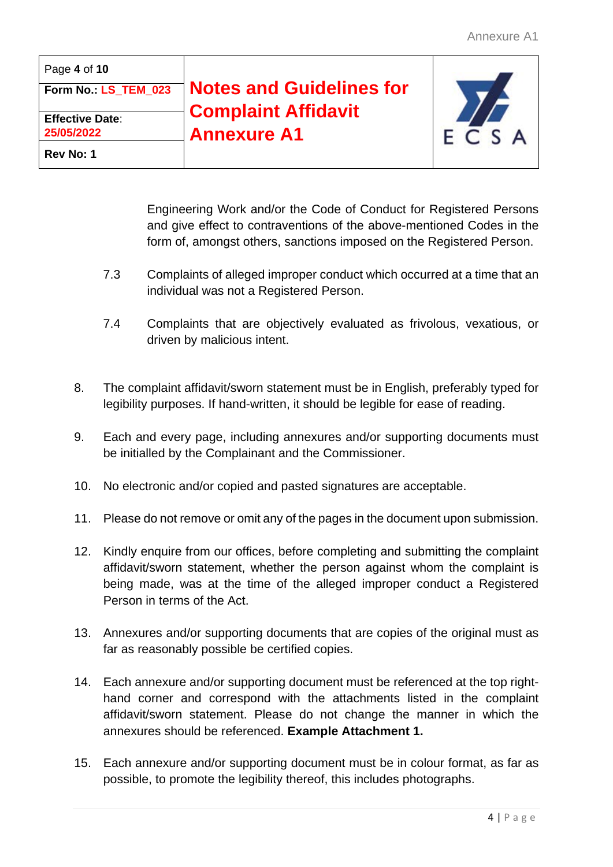| Page 4 of 10                         |                                                  |         |
|--------------------------------------|--------------------------------------------------|---------|
| Form No. LS_TEM_023                  | <b>Notes and Guidelines for</b>                  |         |
| <b>Effective Date:</b><br>25/05/2022 | <b>Complaint Affidavit</b><br><b>Annexure A1</b> | F C S A |
| Rev No: 1                            |                                                  |         |

Engineering Work and/or the Code of Conduct for Registered Persons and give effect to contraventions of the above-mentioned Codes in the form of, amongst others, sanctions imposed on the Registered Person.

- 7.3 Complaints of alleged improper conduct which occurred at a time that an individual was not a Registered Person.
- 7.4 Complaints that are objectively evaluated as frivolous, vexatious, or driven by malicious intent.
- 8. The complaint affidavit/sworn statement must be in English, preferably typed for legibility purposes. If hand-written, it should be legible for ease of reading.
- 9. Each and every page, including annexures and/or supporting documents must be initialled by the Complainant and the Commissioner.
- 10. No electronic and/or copied and pasted signatures are acceptable.
- 11. Please do not remove or omit any of the pages in the document upon submission.
- 12. Kindly enquire from our offices, before completing and submitting the complaint affidavit/sworn statement, whether the person against whom the complaint is being made, was at the time of the alleged improper conduct a Registered Person in terms of the Act.
- 13. Annexures and/or supporting documents that are copies of the original must as far as reasonably possible be certified copies.
- 14. Each annexure and/or supporting document must be referenced at the top righthand corner and correspond with the attachments listed in the complaint affidavit/sworn statement. Please do not change the manner in which the annexures should be referenced. **Example Attachment 1.**
- 15. Each annexure and/or supporting document must be in colour format, as far as possible, to promote the legibility thereof, this includes photographs.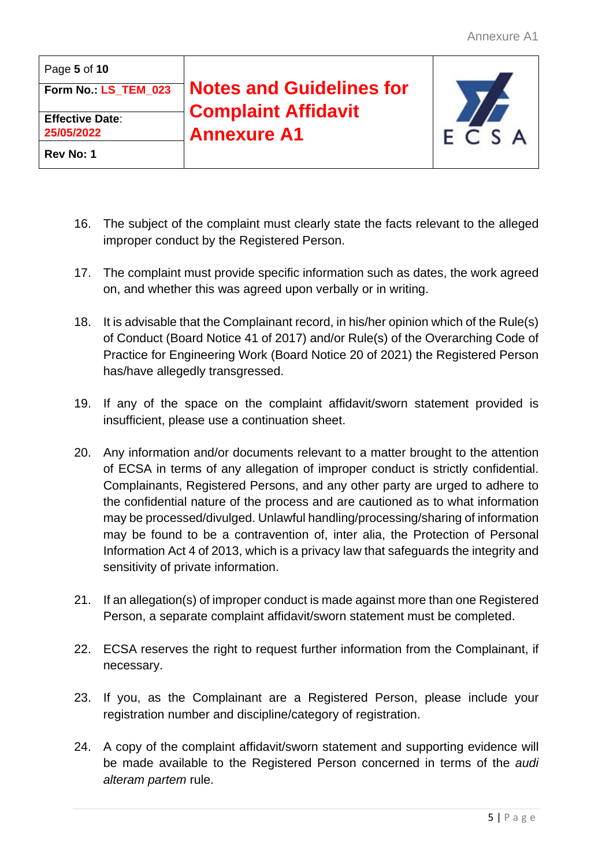| Page 5 of 10                         |                                                  |  |
|--------------------------------------|--------------------------------------------------|--|
| Form No. LS_TEM_023                  | <b>Notes and Guidelines for</b>                  |  |
| <b>Effective Date:</b><br>25/05/2022 | <b>Complaint Affidavit</b><br><b>Annexure A1</b> |  |
| Rev No: 1                            |                                                  |  |

- 16. The subject of the complaint must clearly state the facts relevant to the alleged improper conduct by the Registered Person.
- 17. The complaint must provide specific information such as dates, the work agreed on, and whether this was agreed upon verbally or in writing.
- 18. It is advisable that the Complainant record, in his/her opinion which of the Rule(s) of Conduct (Board Notice 41 of 2017) and/or Rule(s) of the Overarching Code of Practice for Engineering Work (Board Notice 20 of 2021) the Registered Person has/have allegedly transgressed.
- 19. If any of the space on the complaint affidavit/sworn statement provided is insufficient, please use a continuation sheet.
- 20. Any information and/or documents relevant to a matter brought to the attention of ECSA in terms of any allegation of improper conduct is strictly confidential. Complainants, Registered Persons, and any other party are urged to adhere to the confidential nature of the process and are cautioned as to what information may be processed/divulged. Unlawful handling/processing/sharing of information may be found to be a contravention of, inter alia, the Protection of Personal Information Act 4 of 2013, which is a privacy law that safeguards the integrity and sensitivity of private information.
- 21. If an allegation(s) of improper conduct is made against more than one Registered Person, a separate complaint affidavit/sworn statement must be completed.
- 22. ECSA reserves the right to request further information from the Complainant, if necessary.
- 23. If you, as the Complainant are a Registered Person, please include your registration number and discipline/category of registration.
- 24. A copy of the complaint affidavit/sworn statement and supporting evidence will be made available to the Registered Person concerned in terms of the *audi alteram partem* rule.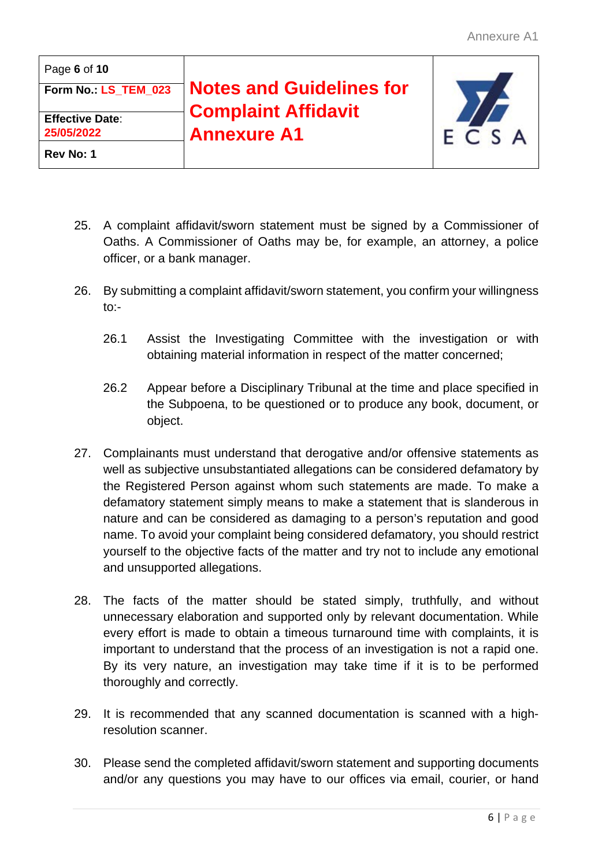| Page 6 of 10           |                                 |         |
|------------------------|---------------------------------|---------|
| Form No. LS_TEM_023    | <b>Notes and Guidelines for</b> |         |
| <b>Effective Date:</b> | <b>Complaint Affidavit</b>      |         |
| 25/05/2022             | <b>Annexure A1</b>              | F C S A |
| Rev No: 1              |                                 |         |

- 25. A complaint affidavit/sworn statement must be signed by a Commissioner of Oaths. A Commissioner of Oaths may be, for example, an attorney, a police officer, or a bank manager.
- 26. By submitting a complaint affidavit/sworn statement, you confirm your willingness  $to:$ 
	- 26.1 Assist the Investigating Committee with the investigation or with obtaining material information in respect of the matter concerned;
	- 26.2 Appear before a Disciplinary Tribunal at the time and place specified in the Subpoena, to be questioned or to produce any book, document, or object.
- 27. Complainants must understand that derogative and/or offensive statements as well as subjective unsubstantiated allegations can be considered defamatory by the Registered Person against whom such statements are made. To make a defamatory statement simply means to make a statement that is slanderous in nature and can be considered as damaging to a person's reputation and good name. To avoid your complaint being considered defamatory, you should restrict yourself to the objective facts of the matter and try not to include any emotional and unsupported allegations.
- 28. The facts of the matter should be stated simply, truthfully, and without unnecessary elaboration and supported only by relevant documentation. While every effort is made to obtain a timeous turnaround time with complaints, it is important to understand that the process of an investigation is not a rapid one. By its very nature, an investigation may take time if it is to be performed thoroughly and correctly.
- 29. It is recommended that any scanned documentation is scanned with a highresolution scanner.
- 30. Please send the completed affidavit/sworn statement and supporting documents and/or any questions you may have to our offices via email, courier, or hand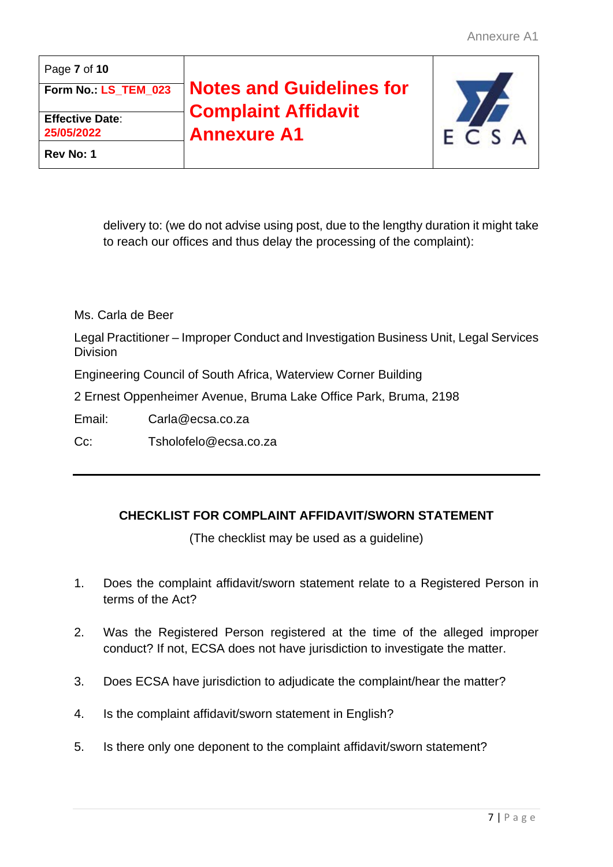| Page 7 of 10           |                                 |      |
|------------------------|---------------------------------|------|
| Form No. LS_TEM_023    | <b>Notes and Guidelines for</b> |      |
| <b>Effective Date:</b> | <b>Complaint Affidavit</b>      |      |
| 25/05/2022             | <b>Annexure A1</b>              | FCSA |
| Rev No: 1              |                                 |      |

delivery to: (we do not advise using post, due to the lengthy duration it might take to reach our offices and thus delay the processing of the complaint):

Ms. Carla de Beer

Legal Practitioner – Improper Conduct and Investigation Business Unit, Legal Services Division

Engineering Council of South Africa, Waterview Corner Building

2 Ernest Oppenheimer Avenue, Bruma Lake Office Park, Bruma, 2198

Email: [Carla@ecsa.co.za](mailto:Carla@ecsa.co.za)

Cc: [Tsholofelo@ecsa.co.za](mailto:Tsholofelo@ecsa.co.za)

## **CHECKLIST FOR COMPLAINT AFFIDAVIT/SWORN STATEMENT**

(The checklist may be used as a guideline)

- 1. Does the complaint affidavit/sworn statement relate to a Registered Person in terms of the Act?
- 2. Was the Registered Person registered at the time of the alleged improper conduct? If not, ECSA does not have jurisdiction to investigate the matter.
- 3. Does ECSA have jurisdiction to adjudicate the complaint/hear the matter?
- 4. Is the complaint affidavit/sworn statement in English?
- 5. Is there only one deponent to the complaint affidavit/sworn statement?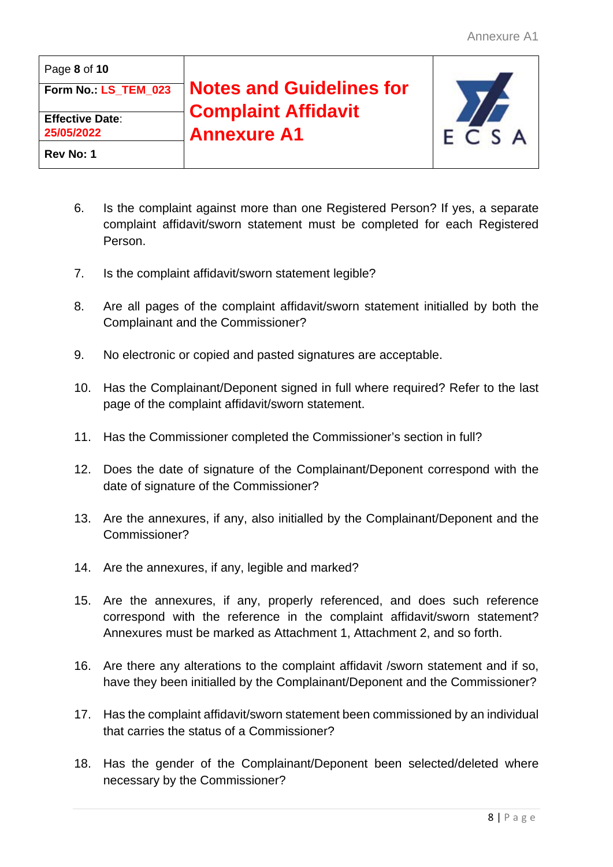| Page 8 of 10                         |                                 |         |
|--------------------------------------|---------------------------------|---------|
| Form No. LS_TEM_023                  | <b>Notes and Guidelines for</b> |         |
|                                      | <b>Complaint Affidavit</b>      |         |
| <b>Effective Date:</b><br>25/05/2022 | <b>Annexure A1</b>              | F C S A |
| Rev No: 1                            |                                 |         |

- 6. Is the complaint against more than one Registered Person? If yes, a separate complaint affidavit/sworn statement must be completed for each Registered Person.
- 7. Is the complaint affidavit/sworn statement legible?
- 8. Are all pages of the complaint affidavit/sworn statement initialled by both the Complainant and the Commissioner?
- 9. No electronic or copied and pasted signatures are acceptable.
- 10. Has the Complainant/Deponent signed in full where required? Refer to the last page of the complaint affidavit/sworn statement.
- 11. Has the Commissioner completed the Commissioner's section in full?
- 12. Does the date of signature of the Complainant/Deponent correspond with the date of signature of the Commissioner?
- 13. Are the annexures, if any, also initialled by the Complainant/Deponent and the Commissioner?
- 14. Are the annexures, if any, legible and marked?
- 15. Are the annexures, if any, properly referenced, and does such reference correspond with the reference in the complaint affidavit/sworn statement? Annexures must be marked as Attachment 1, Attachment 2, and so forth.
- 16. Are there any alterations to the complaint affidavit /sworn statement and if so, have they been initialled by the Complainant/Deponent and the Commissioner?
- 17. Has the complaint affidavit/sworn statement been commissioned by an individual that carries the status of a Commissioner?
- 18. Has the gender of the Complainant/Deponent been selected/deleted where necessary by the Commissioner?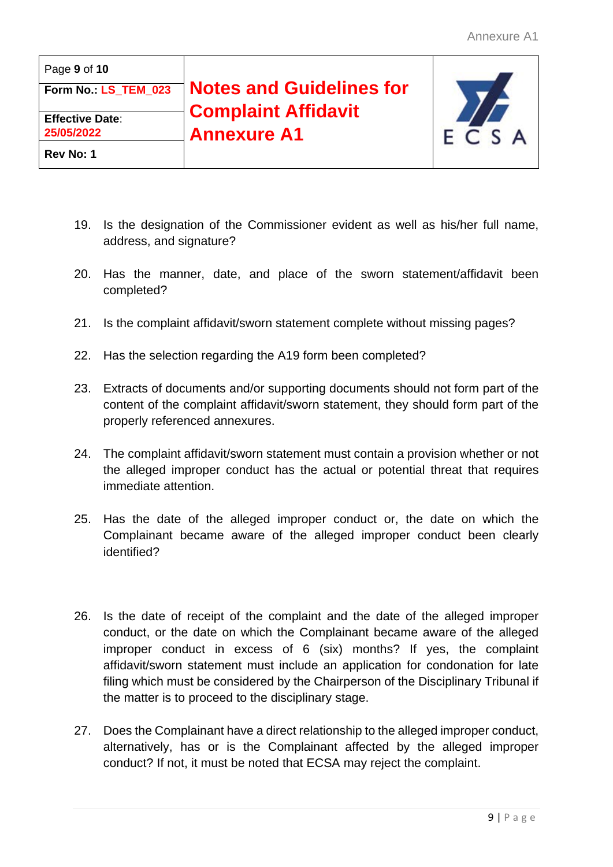| Page 9 of 10           |                                 |         |
|------------------------|---------------------------------|---------|
| Form No. LS_TEM_023    | <b>Notes and Guidelines for</b> |         |
| <b>Effective Date:</b> | <b>Complaint Affidavit</b>      |         |
| 25/05/2022             | <b>Annexure A1</b>              | F C S A |
| Rev No: 1              |                                 |         |

- 19. Is the designation of the Commissioner evident as well as his/her full name, address, and signature?
- 20. Has the manner, date, and place of the sworn statement/affidavit been completed?
- 21. Is the complaint affidavit/sworn statement complete without missing pages?
- 22. Has the selection regarding the A19 form been completed?
- 23. Extracts of documents and/or supporting documents should not form part of the content of the complaint affidavit/sworn statement, they should form part of the properly referenced annexures.
- 24. The complaint affidavit/sworn statement must contain a provision whether or not the alleged improper conduct has the actual or potential threat that requires immediate attention.
- 25. Has the date of the alleged improper conduct or, the date on which the Complainant became aware of the alleged improper conduct been clearly identified?
- 26. Is the date of receipt of the complaint and the date of the alleged improper conduct, or the date on which the Complainant became aware of the alleged improper conduct in excess of 6 (six) months? If yes, the complaint affidavit/sworn statement must include an application for condonation for late filing which must be considered by the Chairperson of the Disciplinary Tribunal if the matter is to proceed to the disciplinary stage.
- 27. Does the Complainant have a direct relationship to the alleged improper conduct, alternatively, has or is the Complainant affected by the alleged improper conduct? If not, it must be noted that ECSA may reject the complaint.